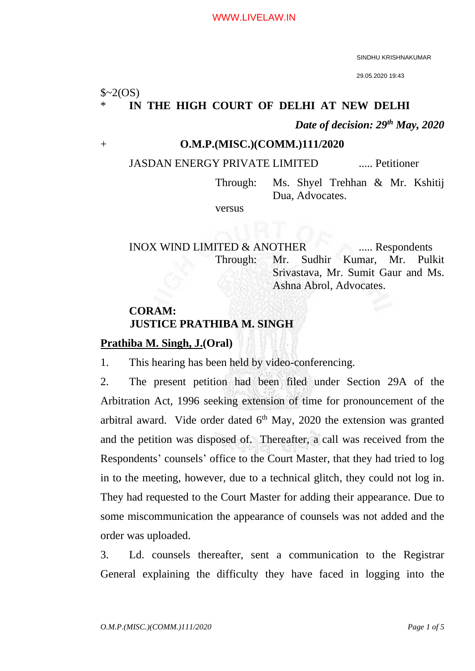SINDHU KRISHNAKUMAR

29.05.2020 19:43

 $$~2(OS)$ 

### IN THE HIGH COURT OF DELHI AT NEW DELHI

*Date of decision: 29th May, 2020*

#### + **O.M.P.(MISC.)(COMM.)111/2020**

## JASDAN ENERGY PRIVATE LIMITED ..... Petitioner

Through: Ms. Shyel Trehhan & Mr. Kshitij Dua, Advocates.

versus

INOX WIND LIMITED & ANOTHER ..... Respondents Through: Mr. Sudhir Kumar, Mr. Pulkit Srivastava, Mr. Sumit Gaur and Ms. Ashna Abrol, Advocates.

## **CORAM: JUSTICE PRATHIBA M. SINGH**

### **Prathiba M. Singh, J.(Oral)**

1. This hearing has been held by video-conferencing.

2. The present petition had been filed under Section 29A of the Arbitration Act, 1996 seeking extension of time for pronouncement of the arbitral award. Vide order dated  $6<sup>th</sup>$  May, 2020 the extension was granted and the petition was disposed of. Thereafter, a call was received from the Respondents' counsels' office to the Court Master, that they had tried to log in to the meeting, however, due to a technical glitch, they could not log in. They had requested to the Court Master for adding their appearance. Due to some miscommunication the appearance of counsels was not added and the order was uploaded.

3. Ld. counsels thereafter, sent a communication to the Registrar General explaining the difficulty they have faced in logging into the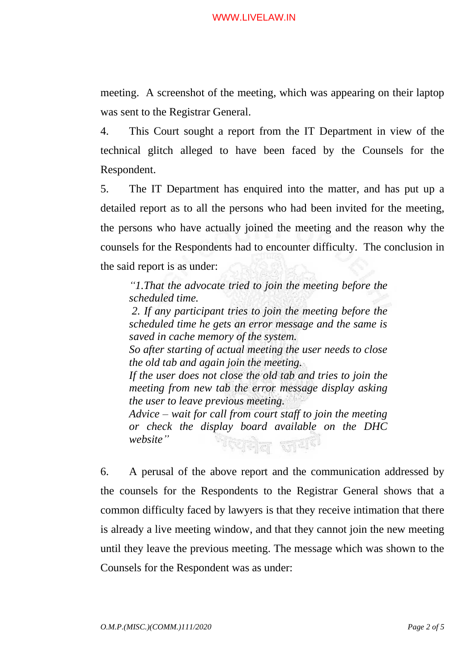#### WWW.LIVELAW.IN

meeting. A screenshot of the meeting, which was appearing on their laptop was sent to the Registrar General.

4. This Court sought a report from the IT Department in view of the technical glitch alleged to have been faced by the Counsels for the Respondent.

5. The IT Department has enquired into the matter, and has put up a detailed report as to all the persons who had been invited for the meeting, the persons who have actually joined the meeting and the reason why the counsels for the Respondents had to encounter difficulty. The conclusion in the said report is as under:

*"1.That the advocate tried to join the meeting before the scheduled time. 2. If any participant tries to join the meeting before the* 

*scheduled time he gets an error message and the same is saved in cache memory of the system. So after starting of actual meeting the user needs to close the old tab and again join the meeting. If the user does not close the old tab and tries to join the meeting from new tab the error message display asking the user to leave previous meeting. Advice – wait for call from court staff to join the meeting or check the display board available on the DHC website"* गरेक्<sub>रील ज</sub>यंग

6. A perusal of the above report and the communication addressed by the counsels for the Respondents to the Registrar General shows that a common difficulty faced by lawyers is that they receive intimation that there is already a live meeting window, and that they cannot join the new meeting until they leave the previous meeting. The message which was shown to the Counsels for the Respondent was as under: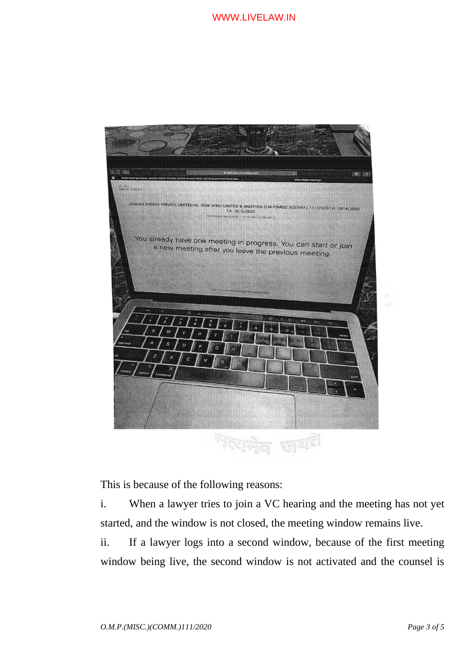

This is because of the following reasons:

i. When a lawyer tries to join a VC hearing and the meeting has not yet started, and the window is not closed, the meeting window remains live.

ii. If a lawyer logs into a second window, because of the first meeting window being live, the second window is not activated and the counsel is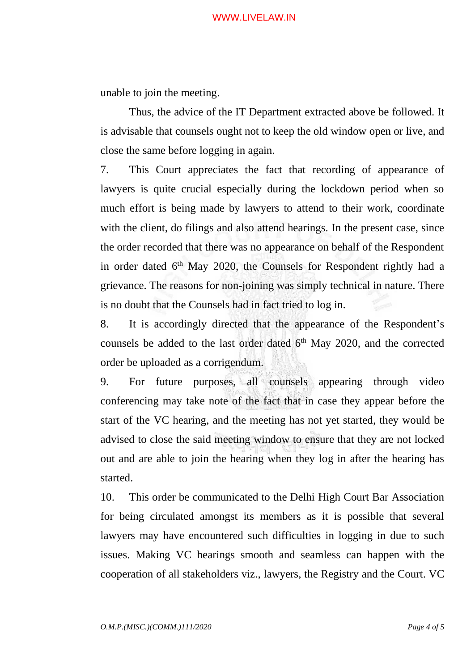#### WWW.LIVELAW.IN

unable to join the meeting.

Thus, the advice of the IT Department extracted above be followed. It is advisable that counsels ought not to keep the old window open or live, and close the same before logging in again.

7. This Court appreciates the fact that recording of appearance of lawyers is quite crucial especially during the lockdown period when so much effort is being made by lawyers to attend to their work, coordinate with the client, do filings and also attend hearings. In the present case, since the order recorded that there was no appearance on behalf of the Respondent in order dated 6<sup>th</sup> May 2020, the Counsels for Respondent rightly had a grievance. The reasons for non-joining was simply technical in nature. There is no doubt that the Counsels had in fact tried to log in.

8. It is accordingly directed that the appearance of the Respondent's counsels be added to the last order dated 6<sup>th</sup> May 2020, and the corrected order be uploaded as a corrigendum.

9. For future purposes, all counsels appearing through video conferencing may take note of the fact that in case they appear before the start of the VC hearing, and the meeting has not yet started, they would be advised to close the said meeting window to ensure that they are not locked out and are able to join the hearing when they log in after the hearing has started.

10. This order be communicated to the Delhi High Court Bar Association for being circulated amongst its members as it is possible that several lawyers may have encountered such difficulties in logging in due to such issues. Making VC hearings smooth and seamless can happen with the cooperation of all stakeholders viz., lawyers, the Registry and the Court. VC